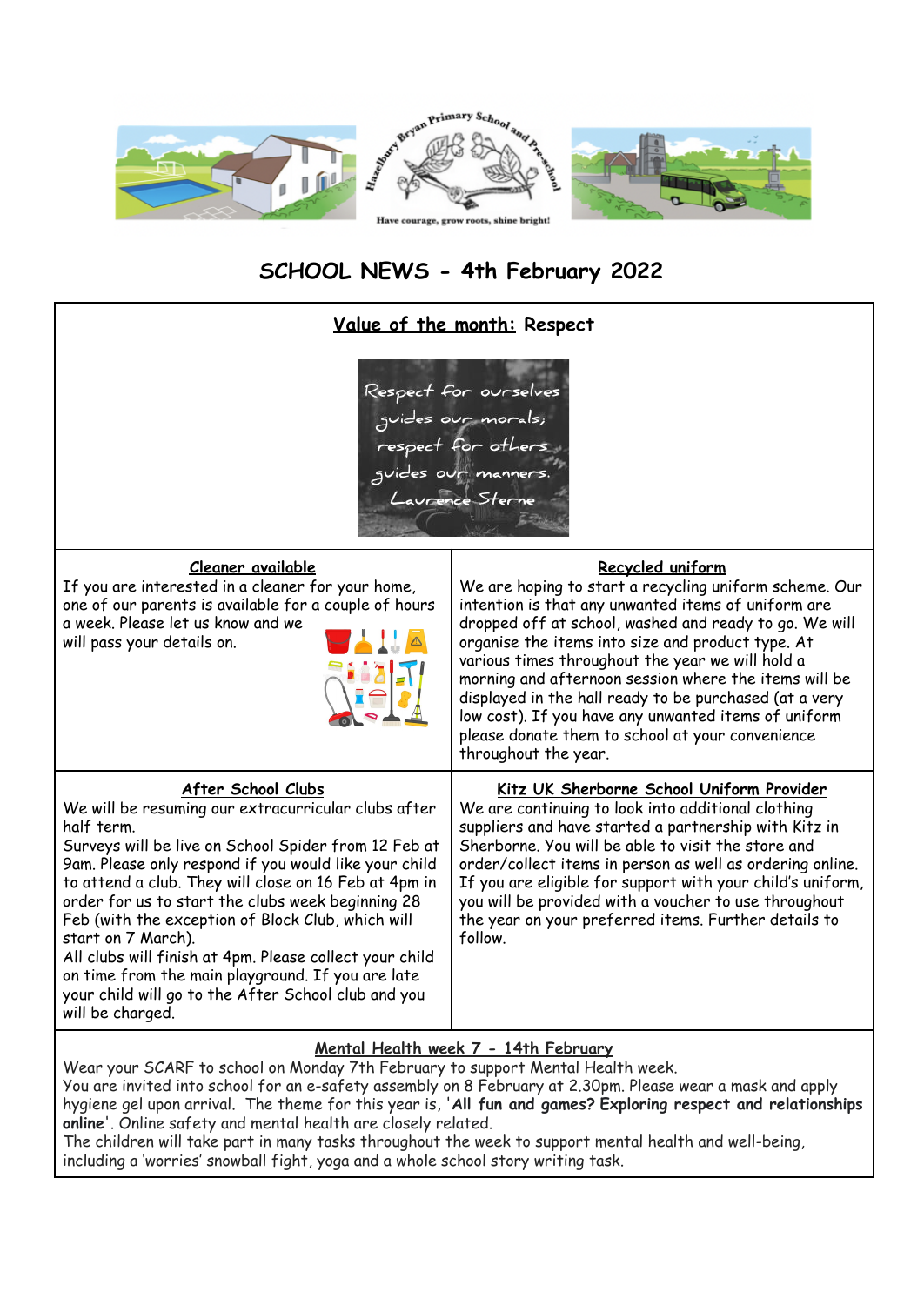

## **SCHOOL NEWS - 4th February 2022**

| Value of the month: Respect                                                                                                                                                                                                                                                                                                                                                                                                                                                                                                                                                                  |                                                                                                                                                                                                                                                                                                                                                                                                                                                                                                                                                             |
|----------------------------------------------------------------------------------------------------------------------------------------------------------------------------------------------------------------------------------------------------------------------------------------------------------------------------------------------------------------------------------------------------------------------------------------------------------------------------------------------------------------------------------------------------------------------------------------------|-------------------------------------------------------------------------------------------------------------------------------------------------------------------------------------------------------------------------------------------------------------------------------------------------------------------------------------------------------------------------------------------------------------------------------------------------------------------------------------------------------------------------------------------------------------|
| Respect for ourselves<br>guides our morals;<br>respect for others ;<br>guides our manners.<br>Laurence Sterne                                                                                                                                                                                                                                                                                                                                                                                                                                                                                |                                                                                                                                                                                                                                                                                                                                                                                                                                                                                                                                                             |
| Cleaner available<br>If you are interested in a cleaner for your home,<br>one of our parents is available for a couple of hours<br>a week. Please let us know and we<br>will pass your details on.                                                                                                                                                                                                                                                                                                                                                                                           | Recycled uniform<br>We are hoping to start a recycling uniform scheme. Our<br>intention is that any unwanted items of uniform are<br>dropped off at school, washed and ready to go. We will<br>organise the items into size and product type. At<br>various times throughout the year we will hold a<br>morning and afternoon session where the items will be<br>displayed in the hall ready to be purchased (at a very<br>low cost). If you have any unwanted items of uniform<br>please donate them to school at your convenience<br>throughout the year. |
| After School Clubs<br>We will be resuming our extracurricular clubs after<br>half term.<br>Surveys will be live on School Spider from 12 Feb at<br>9am. Please only respond if you would like your child<br>to attend a club. They will close on 16 Feb at 4pm in<br>order for us to start the clubs week beginning 28<br>Feb (with the exception of Block Club, which will<br>start on 7 March).<br>All clubs will finish at 4pm. Please collect your child<br>on time from the main playground. If you are late<br>your child will go to the After School club and you<br>will be charged. | Kitz UK Sherborne School Uniform Provider<br>We are continuing to look into additional clothing<br>suppliers and have started a partnership with Kitz in<br>Sherborne. You will be able to visit the store and<br>order/collect items in person as well as ordering online.<br>If you are eligible for support with your child's uniform,<br>you will be provided with a voucher to use throughout<br>the year on your preferred items. Further details to<br>follow.                                                                                       |
| Mental Health week 7 - 14th February                                                                                                                                                                                                                                                                                                                                                                                                                                                                                                                                                         |                                                                                                                                                                                                                                                                                                                                                                                                                                                                                                                                                             |

Wear your SCARF to school on Monday 7th February to support Mental Health week. You are invited into school for an e-safety assembly on 8 February at 2.30pm. Please wear a mask and apply hygiene gel upon arrival. The theme for this year is, '**All fun and games? Exploring respect and relationships online**'. Online safety and mental health are closely related. The children will take part in many tasks throughout the week to support mental health and well-being,

including a 'worries' snowball fight, yoga and a whole school story writing task.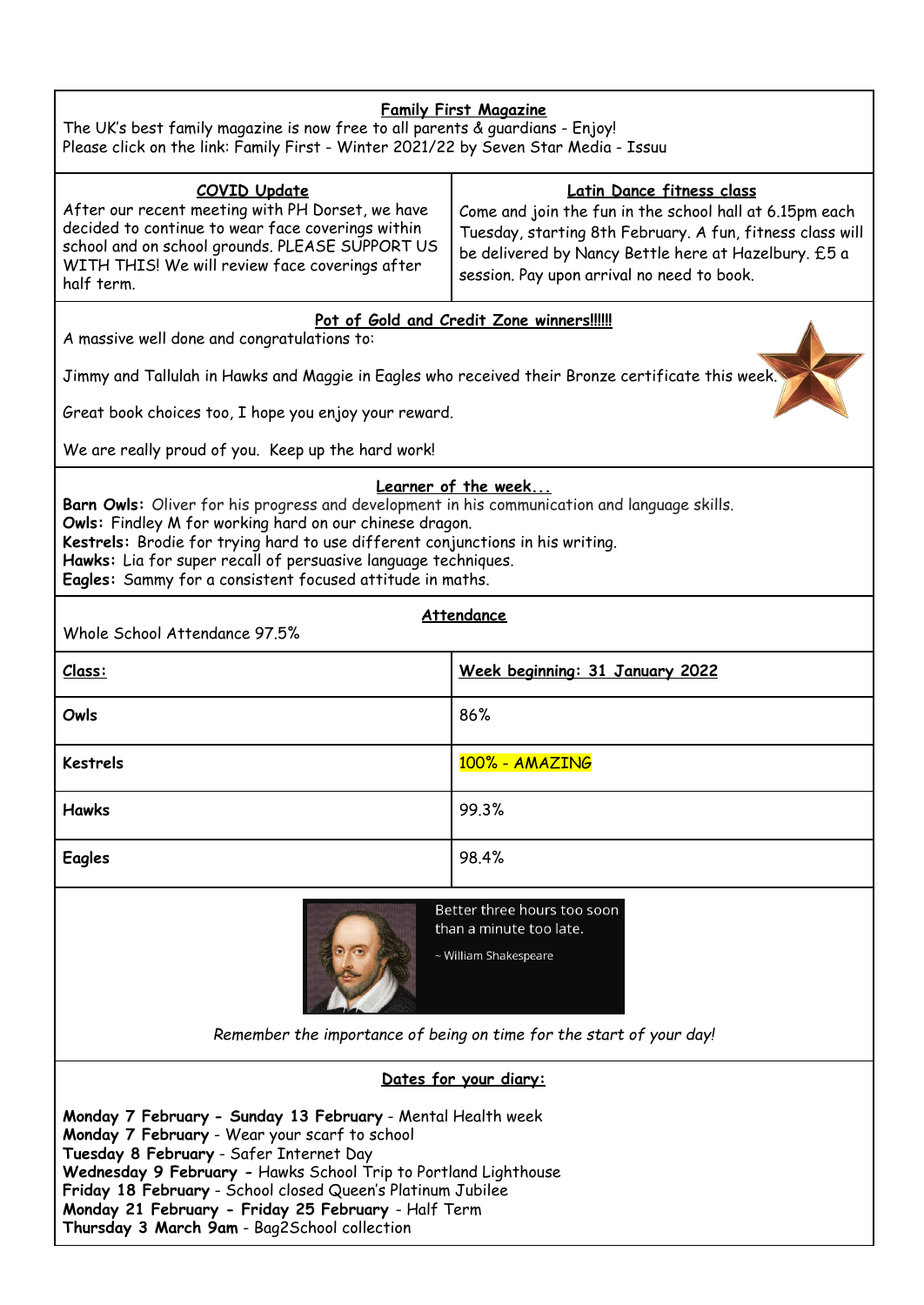| <b>Family First Magazine</b><br>The UK's best family magazine is now free to all parents & guardians - Enjoy!                                                                                                                                                                                                                                                                                    |                                                                                                                                                                                                                                                         |  |
|--------------------------------------------------------------------------------------------------------------------------------------------------------------------------------------------------------------------------------------------------------------------------------------------------------------------------------------------------------------------------------------------------|---------------------------------------------------------------------------------------------------------------------------------------------------------------------------------------------------------------------------------------------------------|--|
| Please click on the link: Family First - Winter 2021/22 by Seven Star Media - Issuu                                                                                                                                                                                                                                                                                                              |                                                                                                                                                                                                                                                         |  |
| <b>COVID Update</b><br>After our recent meeting with PH Dorset, we have<br>decided to continue to wear face coverings within<br>school and on school grounds. PLEASE SUPPORT US<br>WITH THIS! We will review face coverings after<br>half term.                                                                                                                                                  | Latin Dance fitness class<br>Come and join the fun in the school hall at 6.15pm each<br>Tuesday, starting 8th February. A fun, fitness class will<br>be delivered by Nancy Bettle here at Hazelbury. £5 a<br>session. Pay upon arrival no need to book. |  |
| Pot of Gold and Credit Zone winners!!!!!!                                                                                                                                                                                                                                                                                                                                                        |                                                                                                                                                                                                                                                         |  |
| A massive well done and congratulations to:<br>Jimmy and Tallulah in Hawks and Maggie in Eagles who received their Bronze certificate this week.                                                                                                                                                                                                                                                 |                                                                                                                                                                                                                                                         |  |
| Great book choices too, I hope you enjoy your reward.                                                                                                                                                                                                                                                                                                                                            |                                                                                                                                                                                                                                                         |  |
| We are really proud of you. Keep up the hard work!                                                                                                                                                                                                                                                                                                                                               |                                                                                                                                                                                                                                                         |  |
| Learner of the week<br>Barn Owls: Oliver for his progress and development in his communication and language skills.<br>Owls: Findley M for working hard on our chinese dragon.<br>Kestrels: Brodie for trying hard to use different conjunctions in his writing.<br>Hawks: Lia for super recall of persuasive language techniques.<br>Eagles: Sammy for a consistent focused attitude in maths.  |                                                                                                                                                                                                                                                         |  |
| Attendance<br>Whole School Attendance 97.5%                                                                                                                                                                                                                                                                                                                                                      |                                                                                                                                                                                                                                                         |  |
| Class:                                                                                                                                                                                                                                                                                                                                                                                           | Week beginning: 31 January 2022                                                                                                                                                                                                                         |  |
| Owls                                                                                                                                                                                                                                                                                                                                                                                             | 86%                                                                                                                                                                                                                                                     |  |
| <b>Kestrels</b>                                                                                                                                                                                                                                                                                                                                                                                  | 100% - AMAZING                                                                                                                                                                                                                                          |  |
| <b>Hawks</b>                                                                                                                                                                                                                                                                                                                                                                                     | 99.3%                                                                                                                                                                                                                                                   |  |
| Eagles                                                                                                                                                                                                                                                                                                                                                                                           | 98.4%                                                                                                                                                                                                                                                   |  |
| Better three hours too soon<br>than a minute too late.<br>~ William Shakespeare<br>Remember the importance of being on time for the start of your day!                                                                                                                                                                                                                                           |                                                                                                                                                                                                                                                         |  |
| Dates for your diary:                                                                                                                                                                                                                                                                                                                                                                            |                                                                                                                                                                                                                                                         |  |
| Monday 7 February - Sunday 13 February - Mental Health week<br>Monday 7 February - Wear your scarf to school<br>Tuesday 8 February - Safer Internet Day<br>Wednesday 9 February - Hawks School Trip to Portland Lighthouse<br>Friday 18 February - School closed Queen's Platinum Jubilee<br>Monday 21 February - Friday 25 February - Half Term<br>Thursday 3 March 9am - Bag2School collection |                                                                                                                                                                                                                                                         |  |